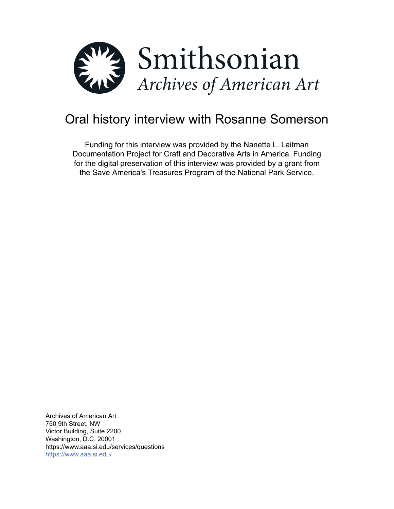

# Oral history interview with Rosanne Somerson

Funding for this interview was provided by the Nanette L. Laitman Documentation Project for Craft and Decorative Arts in America. Funding for the digital preservation of this interview was provided by a grant from the Save America's Treasures Program of the National Park Service.

Archives of American Art 750 9th Street, NW Victor Building, Suite 2200 Washington, D.C. 20001 https://www.aaa.si.edu/services/questions <https://www.aaa.si.edu/>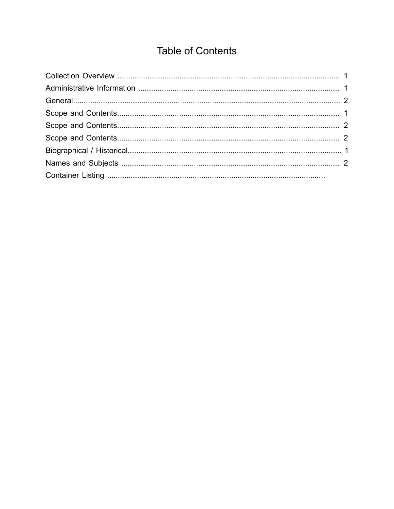# **Table of Contents**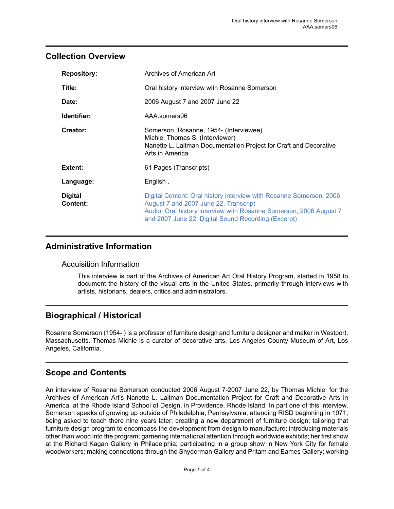#### <span id="page-2-0"></span>**Collection Overview**

| <b>Repository:</b>         | Archives of American Art                                                                                                                                                                                                                  |
|----------------------------|-------------------------------------------------------------------------------------------------------------------------------------------------------------------------------------------------------------------------------------------|
| Title:                     | Oral history interview with Rosanne Somerson                                                                                                                                                                                              |
| Date:                      | 2006 August 7 and 2007 June 22                                                                                                                                                                                                            |
| Identifier:                | AAA.somers06                                                                                                                                                                                                                              |
| Creator:                   | Somerson, Rosanne, 1954- (Interviewee)<br>Michie, Thomas S. (Interviewer)<br>Nanette L. Laitman Documentation Project for Craft and Decorative<br>Arts in America                                                                         |
| Extent:                    | 61 Pages (Transcripts)                                                                                                                                                                                                                    |
| Language:                  | English.                                                                                                                                                                                                                                  |
| <b>Digital</b><br>Content: | Digital Content: Oral history interview with Rosanne Somerson, 2006<br>August 7 and 2007 June 22, Transcript<br>Audio: Oral history interview with Rosanne Somerson, 2006 August 7<br>and 2007 June 22, Digital Sound Recording (Excerpt) |

#### <span id="page-2-1"></span>**Administrative Information**

#### Acquisition Information

This interview is part of the Archives of American Art Oral History Program, started in 1958 to document the history of the visual arts in the United States, primarily through interviews with artists, historians, dealers, critics and administrators.

# <span id="page-2-3"></span>**Biographical / Historical**

Rosanne Somerson (1954- ) is a professor of furniture design and furniture designer and maker in Westport, Massachusetts. Thomas Michie is a curator of decorative arts, Los Angeles County Museum of Art, Los Angeles, California.

# <span id="page-2-2"></span>**Scope and Contents**

An interview of Rosanne Somerson conducted 2006 August 7-2007 June 22, by Thomas Michie, for the Archives of American Art's Nanette L. Laitman Documentation Project for Craft and Decorative Arts in America, at the Rhode Island School of Design, in Providence, Rhode Island. In part one of this interview, Somerson speaks of growing up outside of Philadelphia, Pennsylvania; attending RISD beginning in 1971; being asked to teach there nine years later; creating a new department of furniture design; tailoring that furniture design program to encompass the development from design to manufacture; introducing materials other than wood into the program; garnering international attention through worldwide exhibits; her first show at the Richard Kagan Gallery in Philadelphia; participating in a group show in New York City for female woodworkers; making connections through the Snyderman Gallery and Pritam and Eames Gallery; working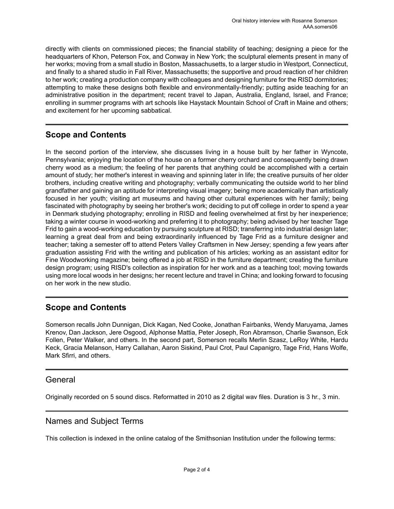directly with clients on commissioned pieces; the financial stability of teaching; designing a piece for the headquarters of Khon, Peterson Fox, and Conway in New York; the sculptural elements present in many of her works; moving from a small studio in Boston, Massachusetts, to a larger studio in Westport, Connecticut, and finally to a shared studio in Fall River, Massachusetts; the supportive and proud reaction of her children to her work; creating a production company with colleagues and designing furniture for the RISD dormitories; attempting to make these designs both flexible and environmentally-friendly; putting aside teaching for an administrative position in the department; recent travel to Japan, Australia, England, Israel, and France; enrolling in summer programs with art schools like Haystack Mountain School of Craft in Maine and others; and excitement for her upcoming sabbatical.

# <span id="page-3-1"></span>**Scope and Contents**

In the second portion of the interview, she discusses living in a house built by her father in Wyncote, Pennsylvania; enjoying the location of the house on a former cherry orchard and consequently being drawn cherry wood as a medium; the feeling of her parents that anything could be accomplished with a certain amount of study; her mother's interest in weaving and spinning later in life; the creative pursuits of her older brothers, including creative writing and photography; verbally communicating the outside world to her blind grandfather and gaining an aptitude for interpreting visual imagery; being more academically than artistically focused in her youth; visiting art museums and having other cultural experiences with her family; being fascinated with photography by seeing her brother's work; deciding to put off college in order to spend a year in Denmark studying photography; enrolling in RISD and feeling overwhelmed at first by her inexperience; taking a winter course in wood-working and preferring it to photography; being advised by her teacher Tage Frid to gain a wood-working education by pursuing sculpture at RISD; transferring into industrial design later; learning a great deal from and being extraordinarily influenced by Tage Frid as a furniture designer and teacher; taking a semester off to attend Peters Valley Craftsmen in New Jersey; spending a few years after graduation assisting Frid with the writing and publication of his articles; working as an assistant editor for Fine Woodworking magazine; being offered a job at RISD in the furniture department; creating the furniture design program; using RISD's collection as inspiration for her work and as a teaching tool; moving towards using more local woods in her designs; her recent lecture and travel in China; and looking forward to focusing on her work in the new studio.

# <span id="page-3-2"></span>**Scope and Contents**

Somerson recalls John Dunnigan, Dick Kagan, Ned Cooke, Jonathan Fairbanks, Wendy Maruyama, James Krenov, Dan Jackson, Jere Osgood, Alphonse Mattia, Peter Joseph, Ron Abramson, Charlie Swanson, Eck Follen, Peter Walker, and others. In the second part, Somerson recalls Merlin Szasz, LeRoy White, Hardu Keck, Gracia Melanson, Harry Callahan, Aaron Siskind, Paul Crot, Paul Capanigro, Tage Frid, Hans Wolfe, Mark Sfirri, and others.

#### <span id="page-3-0"></span>General

Originally recorded on 5 sound discs. Reformatted in 2010 as 2 digital wav files. Duration is 3 hr., 3 min.

#### <span id="page-3-3"></span>Names and Subject Terms

This collection is indexed in the online catalog of the Smithsonian Institution under the following terms: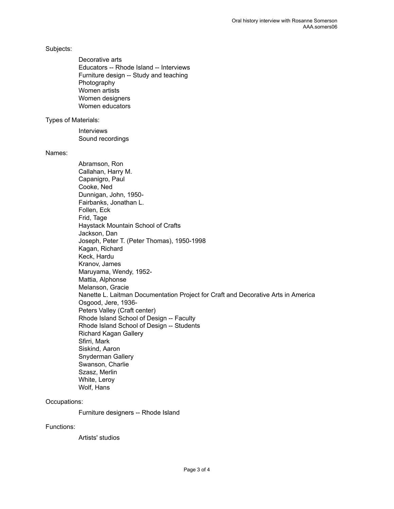Subjects:

Decorative arts Educators -- Rhode Island -- Interviews Furniture design -- Study and teaching Photography Women artists Women designers Women educators

Types of Materials:

Interviews Sound recordings

Names:

Abramson, Ron Callahan, Harry M. Capanigro, Paul Cooke, Ned Dunnigan, John, 1950- Fairbanks, Jonathan L. Follen, Eck Frid, Tage Haystack Mountain School of Crafts Jackson, Dan Joseph, Peter T. (Peter Thomas), 1950-1998 Kagan, Richard Keck, Hardu Kranov, James Maruyama, Wendy, 1952- Mattia, Alphonse Melanson, Gracie Nanette L. Laitman Documentation Project for Craft and Decorative Arts in America Osgood, Jere, 1936- Peters Valley (Craft center) Rhode Island School of Design -- Faculty Rhode Island School of Design -- Students Richard Kagan Gallery Sfirri, Mark Siskind, Aaron Snyderman Gallery Swanson, Charlie Szasz, Merlin White, Leroy Wolf, Hans

Occupations:

Furniture designers -- Rhode Island

Functions:

Artists' studios